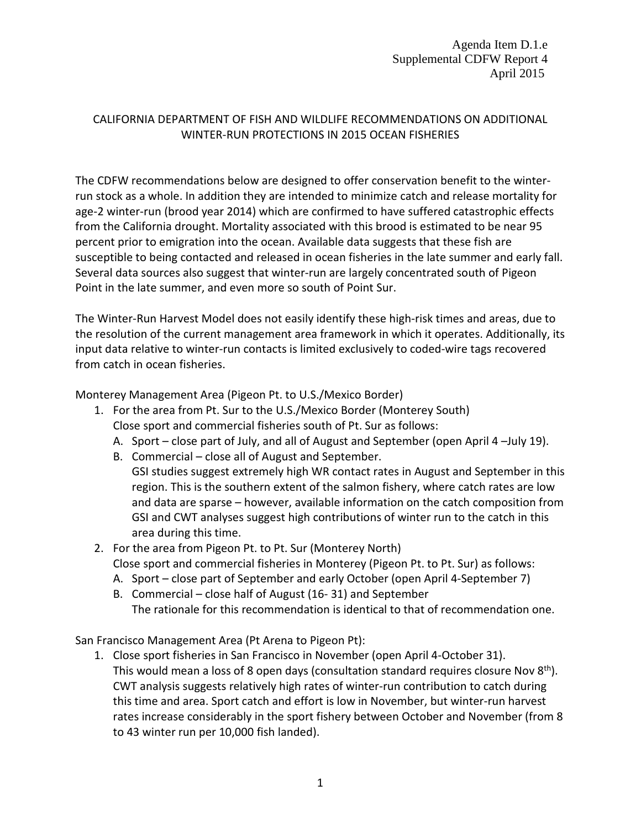Agenda Item D.1.e Supplemental CDFW Report 4 April 2015

## CALIFORNIA DEPARTMENT OF FISH AND WILDLIFE RECOMMENDATIONS ON ADDITIONAL WINTER-RUN PROTECTIONS IN 2015 OCEAN FISHERIES

The CDFW recommendations below are designed to offer conservation benefit to the winterrun stock as a whole. In addition they are intended to minimize catch and release mortality for age-2 winter-run (brood year 2014) which are confirmed to have suffered catastrophic effects from the California drought. Mortality associated with this brood is estimated to be near 95 percent prior to emigration into the ocean. Available data suggests that these fish are susceptible to being contacted and released in ocean fisheries in the late summer and early fall. Several data sources also suggest that winter-run are largely concentrated south of Pigeon Point in the late summer, and even more so south of Point Sur.

The Winter-Run Harvest Model does not easily identify these high-risk times and areas, due to the resolution of the current management area framework in which it operates. Additionally, its input data relative to winter-run contacts is limited exclusively to coded-wire tags recovered from catch in ocean fisheries.

Monterey Management Area (Pigeon Pt. to U.S./Mexico Border)

- 1. For the area from Pt. Sur to the U.S./Mexico Border (Monterey South) Close sport and commercial fisheries south of Pt. Sur as follows:
	- A. Sport close part of July, and all of August and September (open April 4 –July 19).
	- B. Commercial close all of August and September.
	- GSI studies suggest extremely high WR contact rates in August and September in this region. This is the southern extent of the salmon fishery, where catch rates are low and data are sparse – however, available information on the catch composition from GSI and CWT analyses suggest high contributions of winter run to the catch in this area during this time.
- 2. For the area from Pigeon Pt. to Pt. Sur (Monterey North) Close sport and commercial fisheries in Monterey (Pigeon Pt. to Pt. Sur) as follows:
	- A. Sport close part of September and early October (open April 4-September 7)
	- B. Commercial close half of August (16- 31) and September
	- The rationale for this recommendation is identical to that of recommendation one.

San Francisco Management Area (Pt Arena to Pigeon Pt):

1. Close sport fisheries in San Francisco in November (open April 4-October 31). This would mean a loss of 8 open days (consultation standard requires closure Nov 8<sup>th</sup>). CWT analysis suggests relatively high rates of winter-run contribution to catch during this time and area. Sport catch and effort is low in November, but winter-run harvest rates increase considerably in the sport fishery between October and November (from 8 to 43 winter run per 10,000 fish landed).